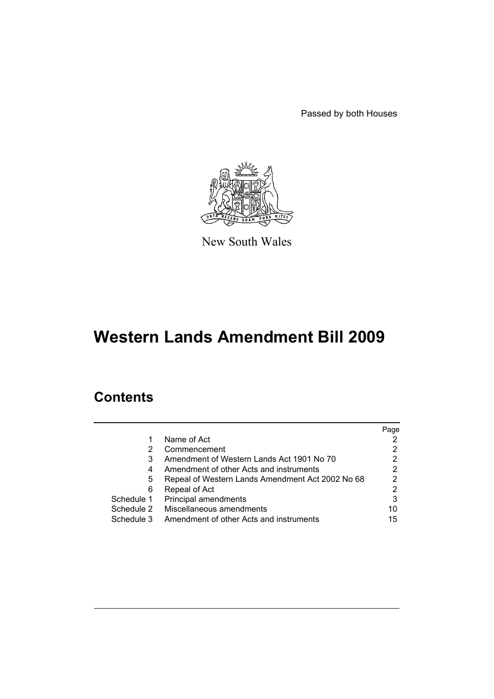Passed by both Houses



New South Wales

# **Western Lands Amendment Bill 2009**

# **Contents**

|            |                                                  | Page |
|------------|--------------------------------------------------|------|
| 1          | Name of Act                                      |      |
| 2          | Commencement                                     |      |
| 3          | Amendment of Western Lands Act 1901 No 70        |      |
| 4          | Amendment of other Acts and instruments          | 2    |
| 5          | Repeal of Western Lands Amendment Act 2002 No 68 | 2    |
| 6          | Repeal of Act                                    | 2    |
| Schedule 1 | Principal amendments                             | 3    |
| Schedule 2 | Miscellaneous amendments                         | 10   |
| Schedule 3 | Amendment of other Acts and instruments          | 15   |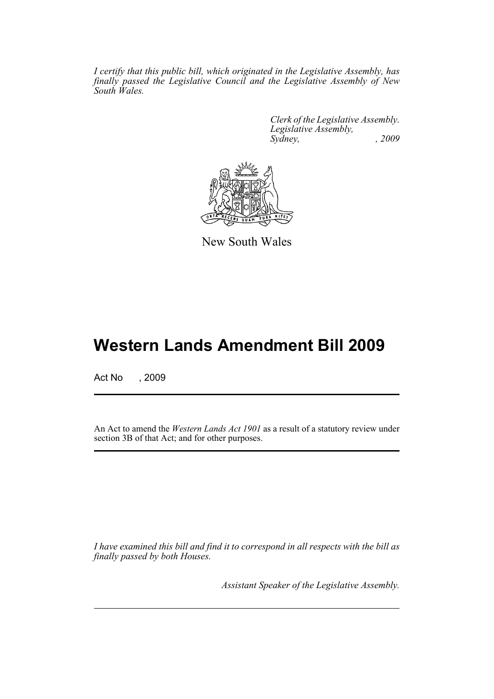*I certify that this public bill, which originated in the Legislative Assembly, has finally passed the Legislative Council and the Legislative Assembly of New South Wales.*

> *Clerk of the Legislative Assembly. Legislative Assembly, Sydney, , 2009*



New South Wales

# **Western Lands Amendment Bill 2009**

Act No , 2009

An Act to amend the *Western Lands Act 1901* as a result of a statutory review under section 3B of that Act; and for other purposes.

*I have examined this bill and find it to correspond in all respects with the bill as finally passed by both Houses.*

*Assistant Speaker of the Legislative Assembly.*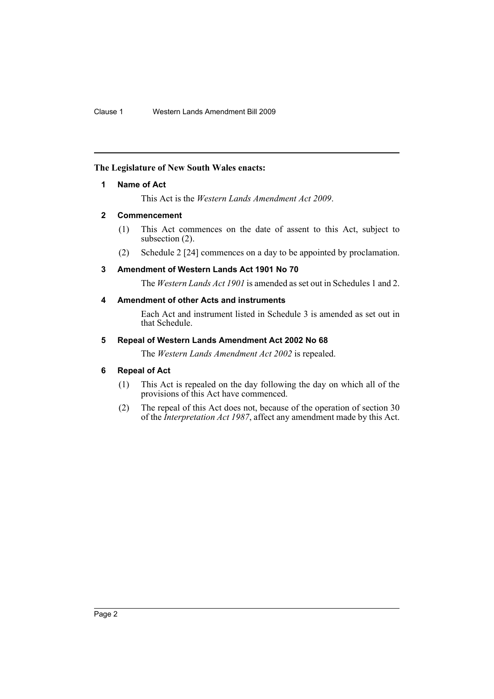# <span id="page-2-0"></span>**The Legislature of New South Wales enacts:**

#### **1 Name of Act**

This Act is the *Western Lands Amendment Act 2009*.

#### <span id="page-2-1"></span>**2 Commencement**

- (1) This Act commences on the date of assent to this Act, subject to subsection (2).
- (2) Schedule 2 [24] commences on a day to be appointed by proclamation.

# <span id="page-2-2"></span>**3 Amendment of Western Lands Act 1901 No 70**

The *Western Lands Act 1901* is amended as set out in Schedules 1 and 2.

#### <span id="page-2-3"></span>**4 Amendment of other Acts and instruments**

Each Act and instrument listed in Schedule 3 is amended as set out in that Schedule.

# <span id="page-2-4"></span>**5 Repeal of Western Lands Amendment Act 2002 No 68**

The *Western Lands Amendment Act 2002* is repealed.

# <span id="page-2-5"></span>**6 Repeal of Act**

- (1) This Act is repealed on the day following the day on which all of the provisions of this Act have commenced.
- (2) The repeal of this Act does not, because of the operation of section 30 of the *Interpretation Act 1987*, affect any amendment made by this Act.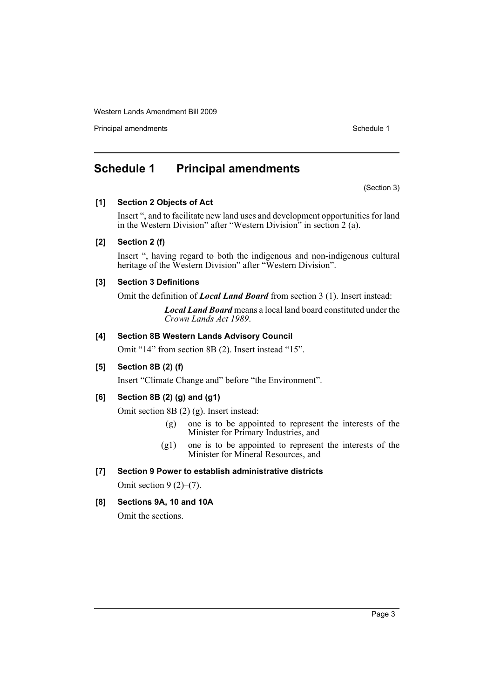**Principal amendments Schedule 1 Contract 2 Contract 2 Schedule 1 Schedule 1** 

# <span id="page-3-0"></span>**Schedule 1 Principal amendments**

(Section 3)

#### **[1] Section 2 Objects of Act**

Insert ", and to facilitate new land uses and development opportunities for land in the Western Division" after "Western Division" in section 2 (a).

# **[2] Section 2 (f)**

Insert ", having regard to both the indigenous and non-indigenous cultural heritage of the Western Division" after "Western Division".

### **[3] Section 3 Definitions**

Omit the definition of *Local Land Board* from section 3 (1). Insert instead:

*Local Land Board* means a local land board constituted under the *Crown Lands Act 1989*.

#### **[4] Section 8B Western Lands Advisory Council**

Omit "14" from section 8B (2). Insert instead "15".

# **[5] Section 8B (2) (f)**

Insert "Climate Change and" before "the Environment".

# **[6] Section 8B (2) (g) and (g1)**

Omit section 8B (2) (g). Insert instead:

- (g) one is to be appointed to represent the interests of the Minister for Primary Industries, and
- (g1) one is to be appointed to represent the interests of the Minister for Mineral Resources, and

# **[7] Section 9 Power to establish administrative districts**

Omit section  $9(2)-(7)$ .

# **[8] Sections 9A, 10 and 10A**

Omit the sections.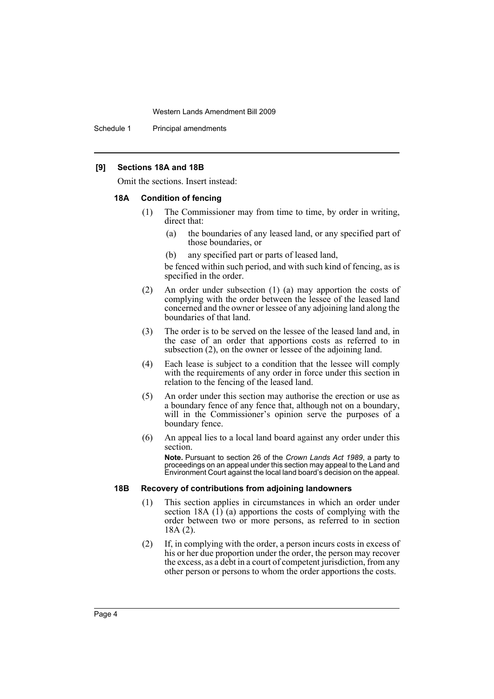Schedule 1 Principal amendments

#### **[9] Sections 18A and 18B**

Omit the sections. Insert instead:

#### **18A Condition of fencing**

- (1) The Commissioner may from time to time, by order in writing, direct that:
	- (a) the boundaries of any leased land, or any specified part of those boundaries, or
	- (b) any specified part or parts of leased land,

be fenced within such period, and with such kind of fencing, as is specified in the order.

- (2) An order under subsection (1) (a) may apportion the costs of complying with the order between the lessee of the leased land concerned and the owner or lessee of any adjoining land along the boundaries of that land.
- (3) The order is to be served on the lessee of the leased land and, in the case of an order that apportions costs as referred to in subsection (2), on the owner or lessee of the adjoining land.
- (4) Each lease is subject to a condition that the lessee will comply with the requirements of any order in force under this section in relation to the fencing of the leased land.
- (5) An order under this section may authorise the erection or use as a boundary fence of any fence that, although not on a boundary, will in the Commissioner's opinion serve the purposes of a boundary fence.
- (6) An appeal lies to a local land board against any order under this section.

**Note.** Pursuant to section 26 of the *Crown Lands Act 1989*, a party to proceedings on an appeal under this section may appeal to the Land and Environment Court against the local land board's decision on the appeal.

#### **18B Recovery of contributions from adjoining landowners**

- (1) This section applies in circumstances in which an order under section 18A  $(\hat{I})$  (a) apportions the costs of complying with the order between two or more persons, as referred to in section 18A (2).
- (2) If, in complying with the order, a person incurs costs in excess of his or her due proportion under the order, the person may recover the excess, as a debt in a court of competent jurisdiction, from any other person or persons to whom the order apportions the costs.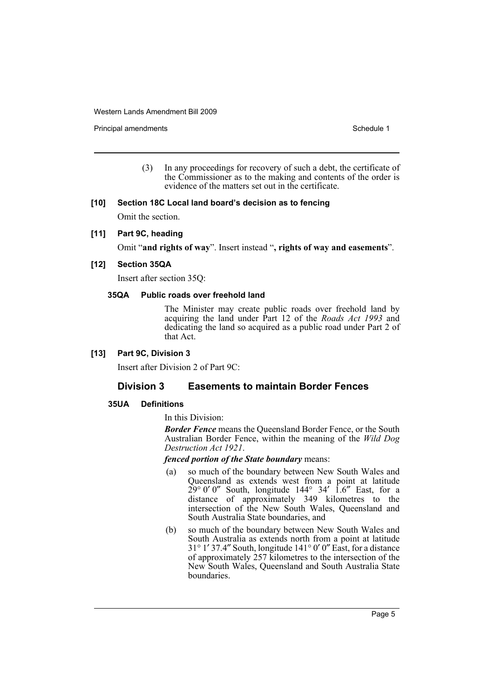Principal amendments **Schedule 1** and the set of the set of the Schedule 1 and the Schedule 1

(3) In any proceedings for recovery of such a debt, the certificate of the Commissioner as to the making and contents of the order is evidence of the matters set out in the certificate.

### **[10] Section 18C Local land board's decision as to fencing**

Omit the section.

### **[11] Part 9C, heading**

Omit "**and rights of way**". Insert instead "**, rights of way and easements**".

#### **[12] Section 35QA**

Insert after section 35Q:

#### **35QA Public roads over freehold land**

The Minister may create public roads over freehold land by acquiring the land under Part 12 of the *Roads Act 1993* and dedicating the land so acquired as a public road under Part 2 of that Act.

#### **[13] Part 9C, Division 3**

Insert after Division 2 of Part 9C:

# **Division 3 Easements to maintain Border Fences**

#### **35UA Definitions**

In this Division:

*Border Fence* means the Queensland Border Fence, or the South Australian Border Fence, within the meaning of the *Wild Dog Destruction Act 1921*.

#### *fenced portion of the State boundary* means:

- (a) so much of the boundary between New South Wales and Queensland as extends west from a point at latitude 29° 0′ 0″ South, longitude 144° 34′ 1.6″ East, for a distance of approximately 349 kilometres to the intersection of the New South Wales, Queensland and South Australia State boundaries, and
- (b) so much of the boundary between New South Wales and South Australia as extends north from a point at latitude 31° 1′ 37.4″ South, longitude 141° 0′ 0″ East, for a distance of approximately 257 kilometres to the intersection of the New South Wales, Queensland and South Australia State boundaries.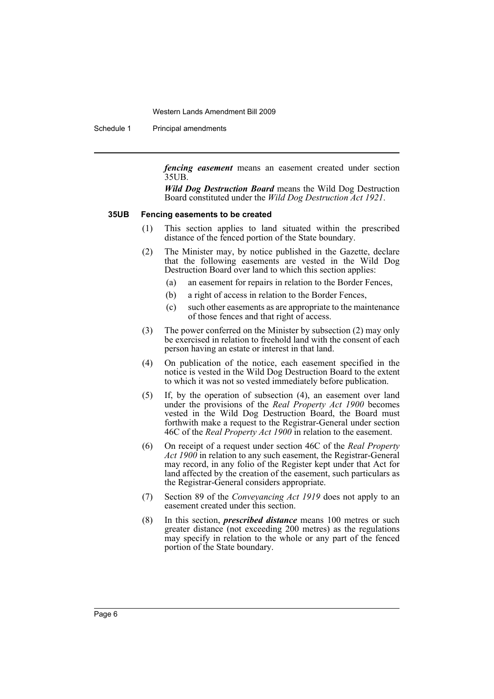Schedule 1 Principal amendments

*fencing easement* means an easement created under section 35UB.

*Wild Dog Destruction Board* means the Wild Dog Destruction Board constituted under the *Wild Dog Destruction Act 1921*.

#### **35UB Fencing easements to be created**

- (1) This section applies to land situated within the prescribed distance of the fenced portion of the State boundary.
- (2) The Minister may, by notice published in the Gazette, declare that the following easements are vested in the Wild Dog Destruction Board over land to which this section applies:
	- (a) an easement for repairs in relation to the Border Fences,
	- (b) a right of access in relation to the Border Fences,
	- (c) such other easements as are appropriate to the maintenance of those fences and that right of access.
- (3) The power conferred on the Minister by subsection (2) may only be exercised in relation to freehold land with the consent of each person having an estate or interest in that land.
- (4) On publication of the notice, each easement specified in the notice is vested in the Wild Dog Destruction Board to the extent to which it was not so vested immediately before publication.
- (5) If, by the operation of subsection (4), an easement over land under the provisions of the *Real Property Act 1900* becomes vested in the Wild Dog Destruction Board, the Board must forthwith make a request to the Registrar-General under section 46C of the *Real Property Act 1900* in relation to the easement.
- (6) On receipt of a request under section 46C of the *Real Property Act 1900* in relation to any such easement, the Registrar-General may record, in any folio of the Register kept under that Act for land affected by the creation of the easement, such particulars as the Registrar-General considers appropriate.
- (7) Section 89 of the *Conveyancing Act 1919* does not apply to an easement created under this section.
- (8) In this section, *prescribed distance* means 100 metres or such greater distance (not exceeding 200 metres) as the regulations may specify in relation to the whole or any part of the fenced portion of the State boundary.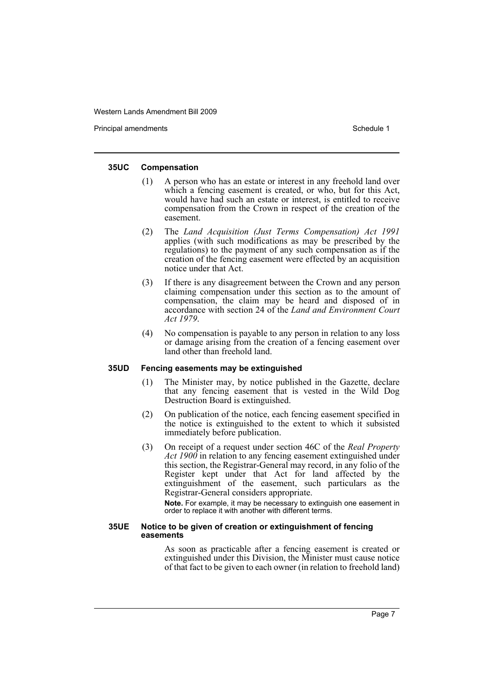Principal amendments **Schedule 1** and the set of the set of the Schedule 1 and the Schedule 1

#### **35UC Compensation**

- (1) A person who has an estate or interest in any freehold land over which a fencing easement is created, or who, but for this Act, would have had such an estate or interest, is entitled to receive compensation from the Crown in respect of the creation of the easement.
- (2) The *Land Acquisition (Just Terms Compensation) Act 1991* applies (with such modifications as may be prescribed by the regulations) to the payment of any such compensation as if the creation of the fencing easement were effected by an acquisition notice under that Act.
- (3) If there is any disagreement between the Crown and any person claiming compensation under this section as to the amount of compensation, the claim may be heard and disposed of in accordance with section 24 of the *Land and Environment Court Act 1979*.
- (4) No compensation is payable to any person in relation to any loss or damage arising from the creation of a fencing easement over land other than freehold land.

#### **35UD Fencing easements may be extinguished**

- (1) The Minister may, by notice published in the Gazette, declare that any fencing easement that is vested in the Wild Dog Destruction Board is extinguished.
- (2) On publication of the notice, each fencing easement specified in the notice is extinguished to the extent to which it subsisted immediately before publication.
- (3) On receipt of a request under section 46C of the *Real Property Act 1900* in relation to any fencing easement extinguished under this section, the Registrar-General may record, in any folio of the Register kept under that Act for land affected by the extinguishment of the easement, such particulars as the Registrar-General considers appropriate.

**Note.** For example, it may be necessary to extinguish one easement in order to replace it with another with different terms.

#### **35UE Notice to be given of creation or extinguishment of fencing easements**

As soon as practicable after a fencing easement is created or extinguished under this Division, the Minister must cause notice of that fact to be given to each owner (in relation to freehold land)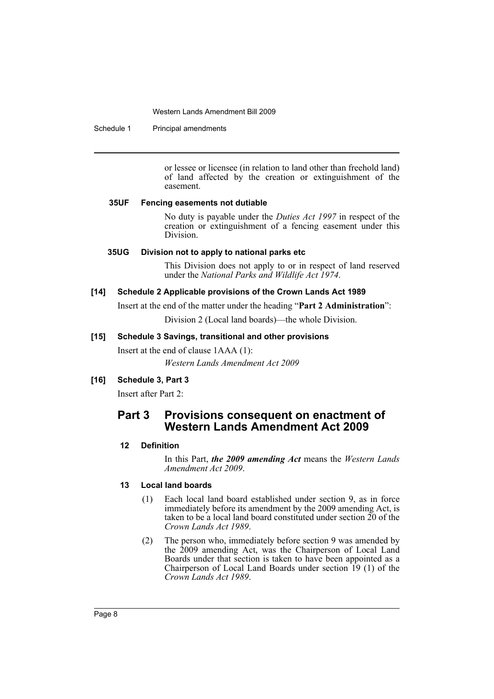Schedule 1 Principal amendments

or lessee or licensee (in relation to land other than freehold land) of land affected by the creation or extinguishment of the easement.

# **35UF Fencing easements not dutiable**

No duty is payable under the *Duties Act 1997* in respect of the creation or extinguishment of a fencing easement under this Division.

#### **35UG Division not to apply to national parks etc**

This Division does not apply to or in respect of land reserved under the *National Parks and Wildlife Act 1974*.

#### **[14] Schedule 2 Applicable provisions of the Crown Lands Act 1989**

Insert at the end of the matter under the heading "**Part 2 Administration**":

Division 2 (Local land boards)—the whole Division.

# **[15] Schedule 3 Savings, transitional and other provisions**

Insert at the end of clause 1AAA (1): *Western Lands Amendment Act 2009*

# **[16] Schedule 3, Part 3**

Insert after Part 2:

# **Part 3 Provisions consequent on enactment of Western Lands Amendment Act 2009**

# **12 Definition**

In this Part, *the 2009 amending Act* means the *Western Lands Amendment Act 2009*.

# **13 Local land boards**

- (1) Each local land board established under section 9, as in force immediately before its amendment by the 2009 amending Act, is taken to be a local land board constituted under section 20 of the *Crown Lands Act 1989*.
- (2) The person who, immediately before section 9 was amended by the 2009 amending Act, was the Chairperson of Local Land Boards under that section is taken to have been appointed as a Chairperson of Local Land Boards under section 19 (1) of the *Crown Lands Act 1989*.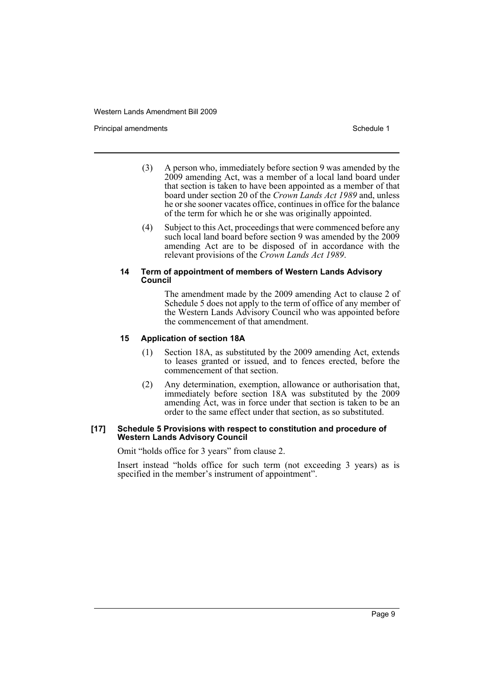Principal amendments **Schedule 1** and the set of the set of the Schedule 1 and the Schedule 1

- (3) A person who, immediately before section 9 was amended by the 2009 amending Act, was a member of a local land board under that section is taken to have been appointed as a member of that board under section 20 of the *Crown Lands Act 1989* and, unless he or she sooner vacates office, continues in office for the balance of the term for which he or she was originally appointed.
- (4) Subject to this Act, proceedings that were commenced before any such local land board before section 9 was amended by the 2009 amending Act are to be disposed of in accordance with the relevant provisions of the *Crown Lands Act 1989*.

#### **14 Term of appointment of members of Western Lands Advisory Council**

The amendment made by the 2009 amending Act to clause 2 of Schedule 5 does not apply to the term of office of any member of the Western Lands Advisory Council who was appointed before the commencement of that amendment.

# **15 Application of section 18A**

- (1) Section 18A, as substituted by the 2009 amending Act, extends to leases granted or issued, and to fences erected, before the commencement of that section.
- (2) Any determination, exemption, allowance or authorisation that, immediately before section 18A was substituted by the 2009 amending Act, was in force under that section is taken to be an order to the same effect under that section, as so substituted.

#### **[17] Schedule 5 Provisions with respect to constitution and procedure of Western Lands Advisory Council**

Omit "holds office for 3 years" from clause 2.

Insert instead "holds office for such term (not exceeding 3 years) as is specified in the member's instrument of appointment".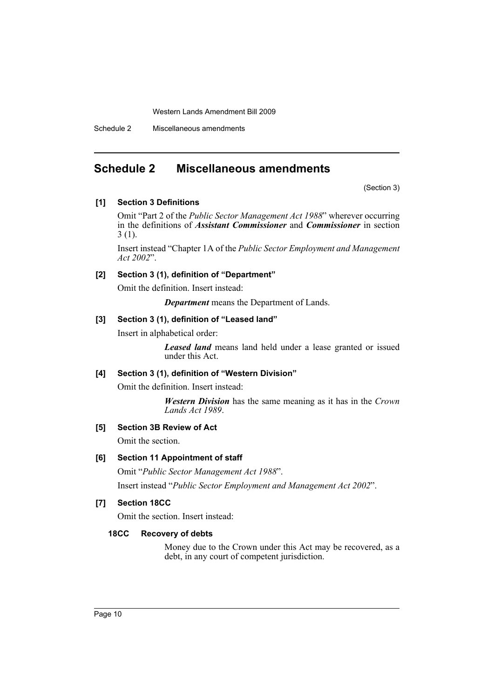Schedule 2 Miscellaneous amendments

# <span id="page-10-0"></span>**Schedule 2 Miscellaneous amendments**

(Section 3)

#### **[1] Section 3 Definitions**

Omit "Part 2 of the *Public Sector Management Act 1988*" wherever occurring in the definitions of *Assistant Commissioner* and *Commissioner* in section 3 (1).

Insert instead "Chapter 1A of the *Public Sector Employment and Management Act 2002*".

# **[2] Section 3 (1), definition of "Department"**

Omit the definition. Insert instead:

*Department* means the Department of Lands.

# **[3] Section 3 (1), definition of "Leased land"**

Insert in alphabetical order:

*Leased land* means land held under a lease granted or issued under this Act.

# **[4] Section 3 (1), definition of "Western Division"**

Omit the definition. Insert instead:

*Western Division* has the same meaning as it has in the *Crown Lands Act 1989*.

# **[5] Section 3B Review of Act**

Omit the section.

# **[6] Section 11 Appointment of staff**

Omit "*Public Sector Management Act 1988*".

Insert instead "*Public Sector Employment and Management Act 2002*".

# **[7] Section 18CC**

Omit the section. Insert instead:

#### **18CC Recovery of debts**

Money due to the Crown under this Act may be recovered, as a debt, in any court of competent jurisdiction.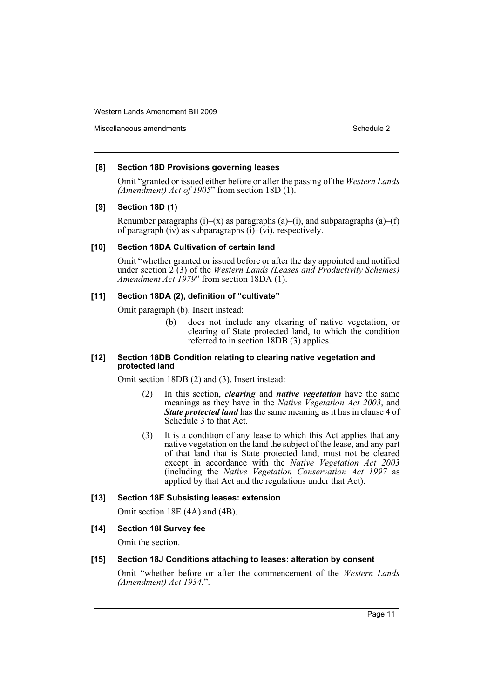Miscellaneous amendments **Schedule 2** and the schedule 2

#### **[8] Section 18D Provisions governing leases**

Omit "granted or issued either before or after the passing of the *Western Lands (Amendment) Act of 1905*" from section 18D (1).

#### **[9] Section 18D (1)**

Renumber paragraphs (i)–(x) as paragraphs (a)–(i), and subparagraphs (a)–(f) of paragraph (iv) as subparagraphs  $(i)$ –(vi), respectively.

#### **[10] Section 18DA Cultivation of certain land**

Omit "whether granted or issued before or after the day appointed and notified under section 2 (3) of the *Western Lands (Leases and Productivity Schemes) Amendment Act 1979*" from section 18DA (1).

#### **[11] Section 18DA (2), definition of "cultivate"**

Omit paragraph (b). Insert instead:

(b) does not include any clearing of native vegetation, or clearing of State protected land, to which the condition referred to in section 18DB (3) applies.

#### **[12] Section 18DB Condition relating to clearing native vegetation and protected land**

Omit section 18DB (2) and (3). Insert instead:

- (2) In this section, *clearing* and *native vegetation* have the same meanings as they have in the *Native Vegetation Act 2003*, and *State protected land* has the same meaning as it has in clause 4 of Schedule 3 to that Act.
- (3) It is a condition of any lease to which this Act applies that any native vegetation on the land the subject of the lease, and any part of that land that is State protected land, must not be cleared except in accordance with the *Native Vegetation Act 2003* (including the *Native Vegetation Conservation Act 1997* as applied by that Act and the regulations under that Act).

# **[13] Section 18E Subsisting leases: extension**

Omit section 18E (4A) and (4B).

# **[14] Section 18I Survey fee**

Omit the section.

#### **[15] Section 18J Conditions attaching to leases: alteration by consent**

Omit "whether before or after the commencement of the *Western Lands (Amendment) Act 1934*,".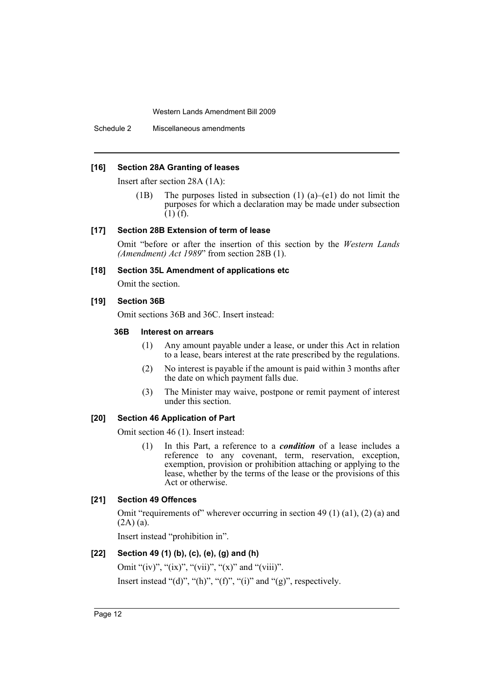Schedule 2 Miscellaneous amendments

#### **[16] Section 28A Granting of leases**

Insert after section 28A (1A):

(1B) The purposes listed in subsection (1) (a)–(e1) do not limit the purposes for which a declaration may be made under subsection (1) (f).

#### **[17] Section 28B Extension of term of lease**

Omit "before or after the insertion of this section by the *Western Lands (Amendment) Act 1989*" from section 28B (1).

#### **[18] Section 35L Amendment of applications etc**

Omit the section.

#### **[19] Section 36B**

Omit sections 36B and 36C. Insert instead:

#### **36B Interest on arrears**

- (1) Any amount payable under a lease, or under this Act in relation to a lease, bears interest at the rate prescribed by the regulations.
- (2) No interest is payable if the amount is paid within 3 months after the date on which payment falls due.
- (3) The Minister may waive, postpone or remit payment of interest under this section.

#### **[20] Section 46 Application of Part**

Omit section 46 (1). Insert instead:

(1) In this Part, a reference to a *condition* of a lease includes a reference to any covenant, term, reservation, exception, exemption, provision or prohibition attaching or applying to the lease, whether by the terms of the lease or the provisions of this Act or otherwise.

### **[21] Section 49 Offences**

Omit "requirements of" wherever occurring in section 49 (1) (a1), (2) (a) and (2A) (a).

Insert instead "prohibition in".

# **[22] Section 49 (1) (b), (c), (e), (g) and (h)**

Omit " $(iv)$ ", " $(ix)$ ", " $(vii)$ ", " $(x)$ " and " $(viii)$ ". Insert instead "(d)", "(h)", "(f)", "(i)" and "(g)", respectively.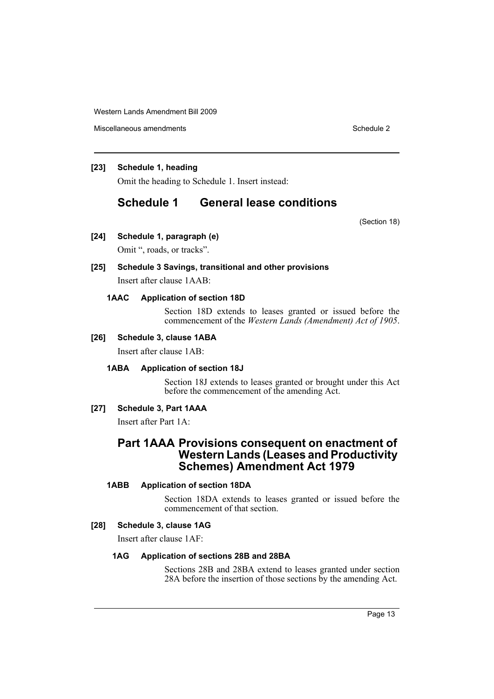Miscellaneous amendments **Schedule 2** and the set of the Schedule 2

# **[23] Schedule 1, heading**

Omit the heading to Schedule 1. Insert instead:

# **Schedule 1 General lease conditions**

(Section 18)

**[24] Schedule 1, paragraph (e)**

Omit ", roads, or tracks".

# **[25] Schedule 3 Savings, transitional and other provisions**

Insert after clause 1AAB:

# **1AAC Application of section 18D**

Section 18D extends to leases granted or issued before the commencement of the *Western Lands (Amendment) Act of 1905*.

#### **[26] Schedule 3, clause 1ABA**

Insert after clause 1AB:

#### **1ABA Application of section 18J**

Section 18J extends to leases granted or brought under this Act before the commencement of the amending Act.

# **[27] Schedule 3, Part 1AAA**

Insert after Part 1A:

# **Part 1AAA Provisions consequent on enactment of Western Lands (Leases and Productivity Schemes) Amendment Act 1979**

# **1ABB Application of section 18DA**

Section 18DA extends to leases granted or issued before the commencement of that section.

#### **[28] Schedule 3, clause 1AG**

Insert after clause 1AF:

# **1AG Application of sections 28B and 28BA**

Sections 28B and 28BA extend to leases granted under section 28A before the insertion of those sections by the amending Act.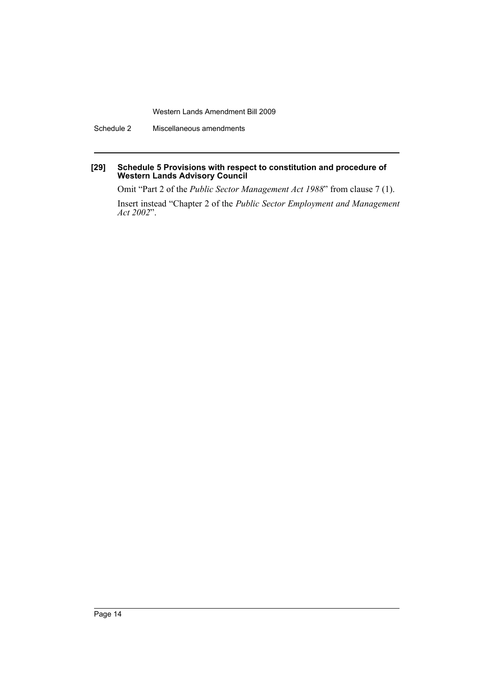Schedule 2 Miscellaneous amendments

#### **[29] Schedule 5 Provisions with respect to constitution and procedure of Western Lands Advisory Council**

Omit "Part 2 of the *Public Sector Management Act 1988*" from clause 7 (1).

Insert instead "Chapter 2 of the *Public Sector Employment and Management Act 2002*".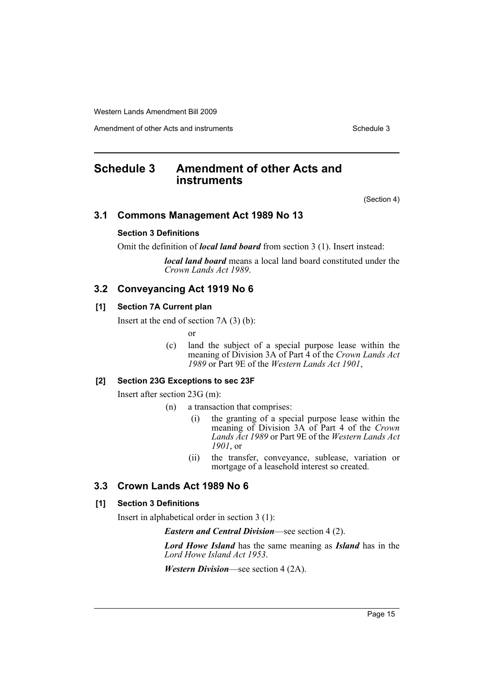Amendment of other Acts and instruments Schedule 3

# <span id="page-15-0"></span>**Schedule 3 Amendment of other Acts and instruments**

(Section 4)

# **3.1 Commons Management Act 1989 No 13**

#### **Section 3 Definitions**

Omit the definition of *local land board* from section 3 (1). Insert instead:

*local land board* means a local land board constituted under the *Crown Lands Act 1989*.

# **3.2 Conveyancing Act 1919 No 6**

#### **[1] Section 7A Current plan**

Insert at the end of section 7A (3) (b):

or

(c) land the subject of a special purpose lease within the meaning of Division 3A of Part 4 of the *Crown Lands Act 1989* or Part 9E of the *Western Lands Act 1901*,

# **[2] Section 23G Exceptions to sec 23F**

Insert after section 23G (m):

- (n) a transaction that comprises:
	- (i) the granting of a special purpose lease within the meaning of Division 3A of Part 4 of the *Crown Lands Act 1989* or Part 9E of the *Western Lands Act 1901*, or
	- (ii) the transfer, conveyance, sublease, variation or mortgage of a leasehold interest so created.

# **3.3 Crown Lands Act 1989 No 6**

# **[1] Section 3 Definitions**

Insert in alphabetical order in section 3 (1):

*Eastern and Central Division*—see section 4 (2).

*Lord Howe Island* has the same meaning as *Island* has in the *Lord Howe Island Act 1953*.

*Western Division*—see section 4 (2A).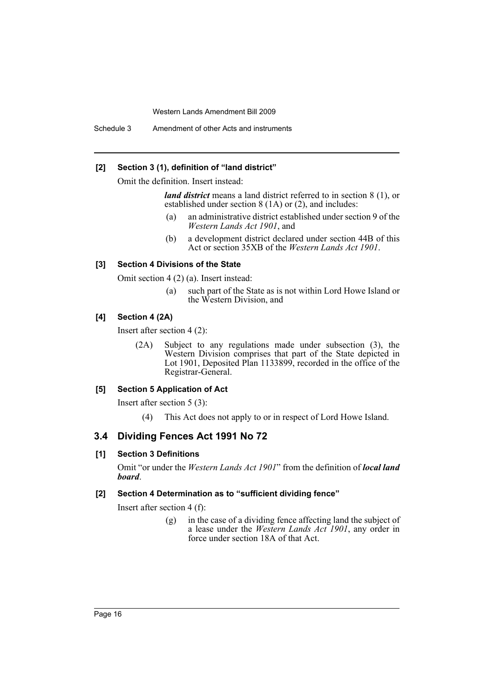Schedule 3 Amendment of other Acts and instruments

#### **[2] Section 3 (1), definition of "land district"**

Omit the definition. Insert instead:

*land district* means a land district referred to in section 8 (1), or established under section 8 (1A) or (2), and includes:

- (a) an administrative district established under section 9 of the *Western Lands Act 1901*, and
- (b) a development district declared under section 44B of this Act or section 35XB of the *Western Lands Act 1901*.

#### **[3] Section 4 Divisions of the State**

Omit section 4 (2) (a). Insert instead:

(a) such part of the State as is not within Lord Howe Island or the Western Division, and

#### **[4] Section 4 (2A)**

Insert after section 4 (2):

(2A) Subject to any regulations made under subsection (3), the Western Division comprises that part of the State depicted in Lot 1901, Deposited Plan 1133899, recorded in the office of the Registrar-General.

#### **[5] Section 5 Application of Act**

Insert after section 5 (3):

(4) This Act does not apply to or in respect of Lord Howe Island.

# **3.4 Dividing Fences Act 1991 No 72**

#### **[1] Section 3 Definitions**

Omit "or under the *Western Lands Act 1901*" from the definition of *local land board*.

# **[2] Section 4 Determination as to "sufficient dividing fence"**

Insert after section 4 (f):

(g) in the case of a dividing fence affecting land the subject of a lease under the *Western Lands Act 1901*, any order in force under section 18A of that Act.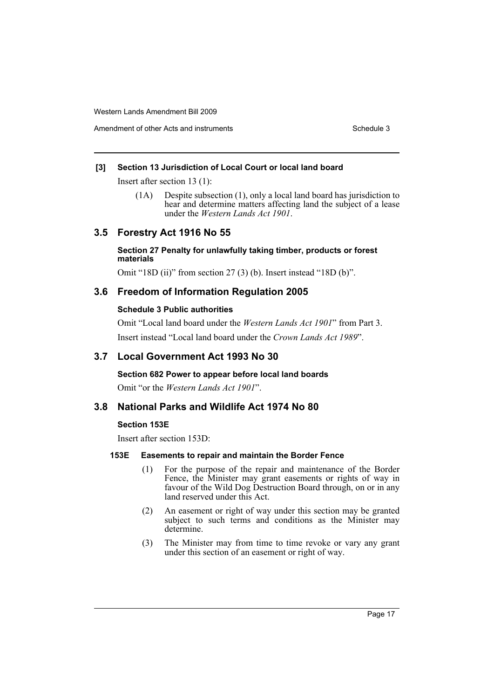# Amendment of other Acts and instruments Schedule 3

# **[3] Section 13 Jurisdiction of Local Court or local land board**

Insert after section 13 (1):

(1A) Despite subsection (1), only a local land board has jurisdiction to hear and determine matters affecting land the subject of a lease under the *Western Lands Act 1901*.

# **3.5 Forestry Act 1916 No 55**

**Section 27 Penalty for unlawfully taking timber, products or forest materials**

Omit "18D (ii)" from section 27 (3) (b). Insert instead "18D (b)".

# **3.6 Freedom of Information Regulation 2005**

#### **Schedule 3 Public authorities**

Omit "Local land board under the *Western Lands Act 1901*" from Part 3. Insert instead "Local land board under the *Crown Lands Act 1989*".

# **3.7 Local Government Act 1993 No 30**

**Section 682 Power to appear before local land boards** Omit "or the *Western Lands Act 1901*".

# **3.8 National Parks and Wildlife Act 1974 No 80**

#### **Section 153E**

Insert after section 153D:

#### **153E Easements to repair and maintain the Border Fence**

- (1) For the purpose of the repair and maintenance of the Border Fence, the Minister may grant easements or rights of way in favour of the Wild Dog Destruction Board through, on or in any land reserved under this Act.
- (2) An easement or right of way under this section may be granted subject to such terms and conditions as the Minister may determine.
- (3) The Minister may from time to time revoke or vary any grant under this section of an easement or right of way.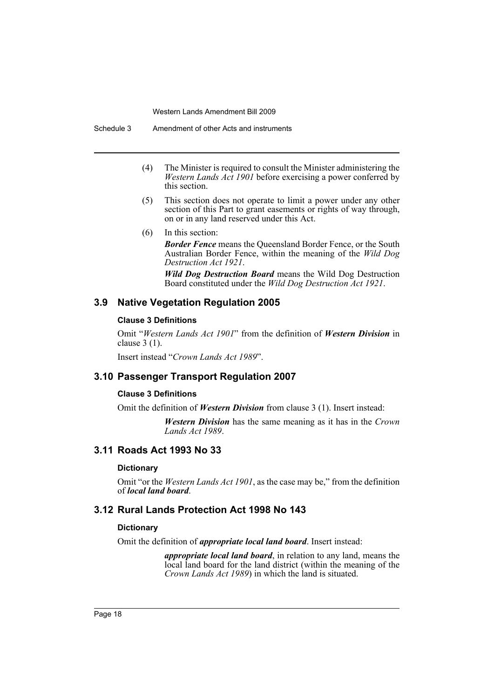Schedule 3 Amendment of other Acts and instruments

- (4) The Minister is required to consult the Minister administering the *Western Lands Act 1901* before exercising a power conferred by this section.
- (5) This section does not operate to limit a power under any other section of this Part to grant easements or rights of way through, on or in any land reserved under this Act.
- (6) In this section:

**Border Fence** means the Queensland Border Fence, or the South Australian Border Fence, within the meaning of the *Wild Dog Destruction Act 1921*.

*Wild Dog Destruction Board* means the Wild Dog Destruction Board constituted under the *Wild Dog Destruction Act 1921*.

# **3.9 Native Vegetation Regulation 2005**

#### **Clause 3 Definitions**

Omit "*Western Lands Act 1901*" from the definition of *Western Division* in clause 3 (1).

Insert instead "*Crown Lands Act 1989*".

# **3.10 Passenger Transport Regulation 2007**

#### **Clause 3 Definitions**

Omit the definition of *Western Division* from clause 3 (1). Insert instead:

*Western Division* has the same meaning as it has in the *Crown Lands Act 1989*.

# **3.11 Roads Act 1993 No 33**

#### **Dictionary**

Omit "or the *Western Lands Act 1901*, as the case may be," from the definition of *local land board*.

# **3.12 Rural Lands Protection Act 1998 No 143**

### **Dictionary**

Omit the definition of *appropriate local land board*. Insert instead:

*appropriate local land board*, in relation to any land, means the local land board for the land district (within the meaning of the *Crown Lands Act 1989*) in which the land is situated.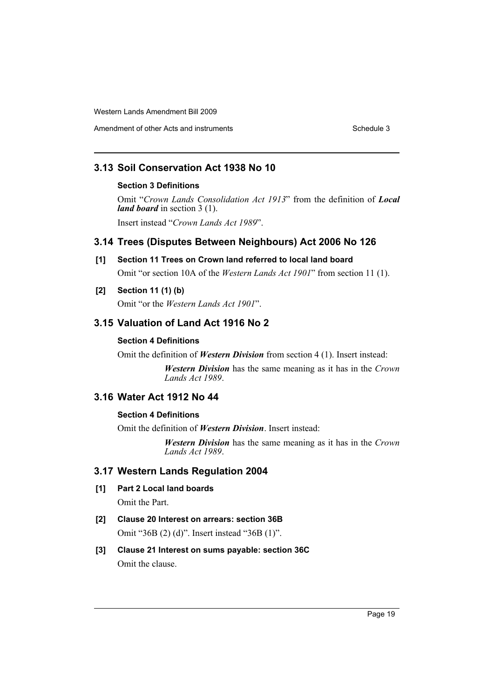# Amendment of other Acts and instruments Schedule 3

# **3.13 Soil Conservation Act 1938 No 10**

### **Section 3 Definitions**

Omit "*Crown Lands Consolidation Act 1913*" from the definition of *Local land board* in section 3 (1). Insert instead "*Crown Lands Act 1989*".

# **3.14 Trees (Disputes Between Neighbours) Act 2006 No 126**

# **[1] Section 11 Trees on Crown land referred to local land board**

Omit "or section 10A of the *Western Lands Act 1901*" from section 11 (1).

# **[2] Section 11 (1) (b)**

Omit "or the *Western Lands Act 1901*".

# **3.15 Valuation of Land Act 1916 No 2**

# **Section 4 Definitions**

Omit the definition of *Western Division* from section 4 (1). Insert instead:

*Western Division* has the same meaning as it has in the *Crown Lands Act 1989*.

# **3.16 Water Act 1912 No 44**

# **Section 4 Definitions**

Omit the definition of *Western Division*. Insert instead:

*Western Division* has the same meaning as it has in the *Crown Lands Act 1989*.

# **3.17 Western Lands Regulation 2004**

**[1] Part 2 Local land boards**

Omit the Part.

**[2] Clause 20 Interest on arrears: section 36B** Omit "36B (2) (d)". Insert instead "36B (1)".

# **[3] Clause 21 Interest on sums payable: section 36C**

Omit the clause.